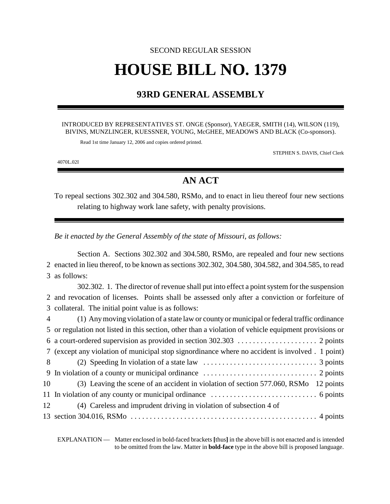# SECOND REGULAR SESSION **HOUSE BILL NO. 1379**

## **93RD GENERAL ASSEMBLY**

### INTRODUCED BY REPRESENTATIVES ST. ONGE (Sponsor), YAEGER, SMITH (14), WILSON (119), BIVINS, MUNZLINGER, KUESSNER, YOUNG, McGHEE, MEADOWS AND BLACK (Co-sponsors).

Read 1st time January 12, 2006 and copies ordered printed.

STEPHEN S. DAVIS, Chief Clerk

4070L.02I

# **AN ACT**

To repeal sections 302.302 and 304.580, RSMo, and to enact in lieu thereof four new sections relating to highway work lane safety, with penalty provisions.

*Be it enacted by the General Assembly of the state of Missouri, as follows:*

Section A. Sections 302.302 and 304.580, RSMo, are repealed and four new sections 2 enacted in lieu thereof, to be known as sections 302.302, 304.580, 304.582, and 304.585, to read 3 as follows:

302.302. 1. The director of revenue shall put into effect a point system for the suspension 2 and revocation of licenses. Points shall be assessed only after a conviction or forfeiture of 3 collateral. The initial point value is as follows:

| $\overline{4}$ | (1) Any moving violation of a state law or county or municipal or federal traffic ordinance                                         |
|----------------|-------------------------------------------------------------------------------------------------------------------------------------|
|                | 5 or regulation not listed in this section, other than a violation of vehicle equipment provisions or                               |
|                |                                                                                                                                     |
|                | 7 (except any violation of municipal stop signordinance where no accident is involved . 1 point)                                    |
| 8              | (2) Speeding In violation of a state law $\dots\dots\dots\dots\dots\dots\dots\dots\dots$ 3 points                                   |
|                |                                                                                                                                     |
| 10             | (3) Leaving the scene of an accident in violation of section 577.060, RSMo 12 points                                                |
|                |                                                                                                                                     |
| 12             | (4) Careless and imprudent driving in violation of subsection 4 of                                                                  |
|                | 13 section 304.016, RSMo $\dots \dots \dots \dots \dots \dots \dots \dots \dots \dots \dots \dots \dots \dots \dots \dots$ 4 points |

EXPLANATION — Matter enclosed in bold-faced brackets **[**thus**]** in the above bill is not enacted and is intended to be omitted from the law. Matter in **bold-face** type in the above bill is proposed language.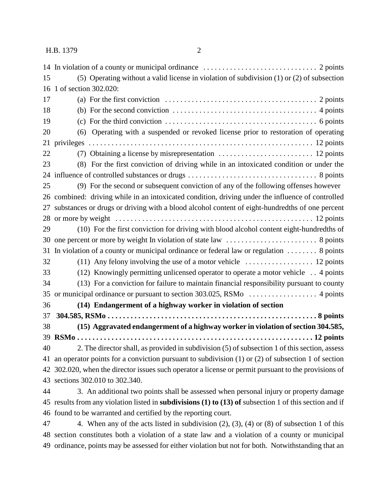| 15 | (5) Operating without a valid license in violation of subdivision $(1)$ or $(2)$ of subsection                        |
|----|-----------------------------------------------------------------------------------------------------------------------|
| 16 | 1 of section 302.020:                                                                                                 |
| 17 | (a) For the first conviction $\dots \dots \dots \dots \dots \dots \dots \dots \dots \dots \dots \dots \dots$ 2 points |
| 18 | (b) For the second conviction $\dots \dots \dots \dots \dots \dots \dots \dots \dots \dots \dots$ 4 points            |
| 19 | (c) For the third conviction $\dots \dots \dots \dots \dots \dots \dots \dots \dots \dots \dots$ 6 points             |
| 20 | (6) Operating with a suspended or revoked license prior to restoration of operating                                   |
| 21 |                                                                                                                       |
| 22 |                                                                                                                       |
| 23 | (8) For the first conviction of driving while in an intoxicated condition or under the                                |
| 24 |                                                                                                                       |
| 25 | (9) For the second or subsequent conviction of any of the following offenses however                                  |
| 26 | combined: driving while in an intoxicated condition, driving under the influence of controlled                        |
| 27 | substances or drugs or driving with a blood alcohol content of eight-hundredths of one percent                        |
| 28 |                                                                                                                       |
| 29 | (10) For the first conviction for driving with blood alcohol content eight-hundredths of                              |
| 30 |                                                                                                                       |
| 31 | In violation of a county or municipal ordinance or federal law or regulation $\dots \dots$ 8 points                   |
| 32 | (11) Any felony involving the use of a motor vehicle $\dots\dots\dots\dots\dots$ 12 points                            |
| 33 | (12) Knowingly permitting unlicensed operator to operate a motor vehicle  4 points                                    |
| 34 | (13) For a conviction for failure to maintain financial responsibility pursuant to county                             |
| 35 |                                                                                                                       |
| 36 | (14) Endangerment of a highway worker in violation of section                                                         |
| 37 |                                                                                                                       |
| 38 | (15) Aggravated endangerment of a highway worker in violation of section 304.585,                                     |
|    |                                                                                                                       |
| 40 | 2. The director shall, as provided in subdivision (5) of subsection 1 of this section, assess                         |
|    | 41 an operator points for a conviction pursuant to subdivision (1) or (2) of subsection 1 of section                  |
|    | 42 302.020, when the director issues such operator a license or permit pursuant to the provisions of                  |
| 43 | sections 302.010 to 302.340.                                                                                          |
| 44 | 3. An additional two points shall be assessed when personal injury or property damage                                 |
|    | 45 results from any violation listed in <b>subdivisions</b> (1) to (13) of subsection 1 of this section and if        |
|    | 46 found to be warranted and certified by the reporting court.                                                        |
| 47 | 4. When any of the acts listed in subdivision $(2)$ , $(3)$ , $(4)$ or $(8)$ of subsection 1 of this                  |
|    | 48 section constitutes both a violation of a state law and a violation of a county or municipal                       |

ordinance, points may be assessed for either violation but not for both. Notwithstanding that an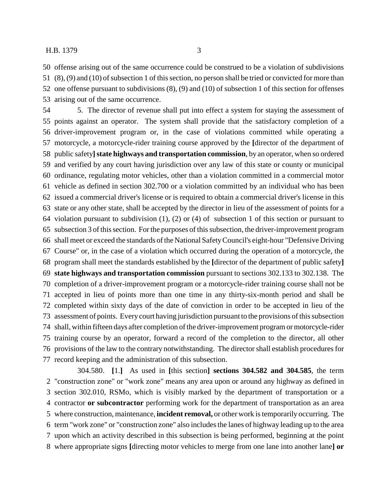offense arising out of the same occurrence could be construed to be a violation of subdivisions (8), (9) and (10) of subsection 1 of this section, no person shall be tried or convicted for more than one offense pursuant to subdivisions (8), (9) and (10) of subsection 1 of this section for offenses arising out of the same occurrence.

 5. The director of revenue shall put into effect a system for staying the assessment of points against an operator. The system shall provide that the satisfactory completion of a driver-improvement program or, in the case of violations committed while operating a motorcycle, a motorcycle-rider training course approved by the **[**director of the department of public safety**]state highways and transportation commission**, by an operator, when so ordered and verified by any court having jurisdiction over any law of this state or county or municipal ordinance, regulating motor vehicles, other than a violation committed in a commercial motor vehicle as defined in section 302.700 or a violation committed by an individual who has been issued a commercial driver's license or is required to obtain a commercial driver's license in this state or any other state, shall be accepted by the director in lieu of the assessment of points for a violation pursuant to subdivision (1), (2) or (4) of subsection 1 of this section or pursuant to subsection 3 of this section. For the purposes of this subsection, the driver-improvement program shall meet or exceed the standards of the National Safety Council's eight-hour "Defensive Driving Course" or, in the case of a violation which occurred during the operation of a motorcycle, the program shall meet the standards established by the **[**director of the department of public safety**] state highways and transportation commission** pursuant to sections 302.133 to 302.138. The completion of a driver-improvement program or a motorcycle-rider training course shall not be accepted in lieu of points more than one time in any thirty-six-month period and shall be completed within sixty days of the date of conviction in order to be accepted in lieu of the assessment of points. Every court having jurisdiction pursuant to the provisions of this subsection shall, within fifteen days after completion of the driver-improvement program or motorcycle-rider training course by an operator, forward a record of the completion to the director, all other provisions of the law to the contrary notwithstanding. The director shall establish procedures for record keeping and the administration of this subsection.

304.580. **[**1.**]** As used in **[**this section**] sections 304.582 and 304.585**, the term "construction zone" or "work zone" means any area upon or around any highway as defined in section 302.010, RSMo, which is visibly marked by the department of transportation or a contractor **or subcontractor** performing work for the department of transportation as an area where construction, maintenance, **incident removal,** or other work is temporarily occurring. The term "work zone" or "construction zone" also includes the lanes of highway leading up to the area upon which an activity described in this subsection is being performed, beginning at the point where appropriate signs **[**directing motor vehicles to merge from one lane into another lane**] or**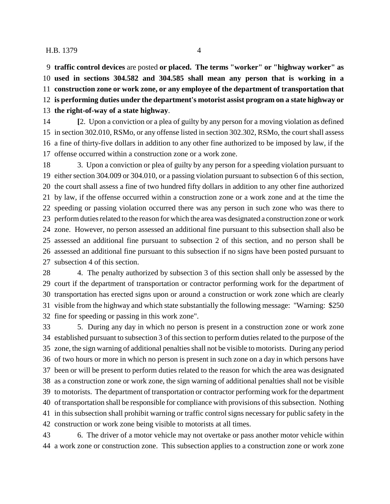**traffic control devices** are posted **or placed. The terms "worker" or "highway worker" as used in sections 304.582 and 304.585 shall mean any person that is working in a construction zone or work zone, or any employee of the department of transportation that is performing duties under the department's motorist assist program on a state highway or the right-of-way of a state highway**.

 **[**2. Upon a conviction or a plea of guilty by any person for a moving violation as defined in section 302.010, RSMo, or any offense listed in section 302.302, RSMo, the court shall assess a fine of thirty-five dollars in addition to any other fine authorized to be imposed by law, if the offense occurred within a construction zone or a work zone.

 3. Upon a conviction or plea of guilty by any person for a speeding violation pursuant to either section 304.009 or 304.010, or a passing violation pursuant to subsection 6 of this section, the court shall assess a fine of two hundred fifty dollars in addition to any other fine authorized by law, if the offense occurred within a construction zone or a work zone and at the time the speeding or passing violation occurred there was any person in such zone who was there to perform duties related to the reason for which the area was designated a construction zone or work zone. However, no person assessed an additional fine pursuant to this subsection shall also be assessed an additional fine pursuant to subsection 2 of this section, and no person shall be assessed an additional fine pursuant to this subsection if no signs have been posted pursuant to subsection 4 of this section.

 4. The penalty authorized by subsection 3 of this section shall only be assessed by the court if the department of transportation or contractor performing work for the department of transportation has erected signs upon or around a construction or work zone which are clearly visible from the highway and which state substantially the following message: "Warning: \$250 fine for speeding or passing in this work zone".

 5. During any day in which no person is present in a construction zone or work zone established pursuant to subsection 3 of this section to perform duties related to the purpose of the zone, the sign warning of additional penalties shall not be visible to motorists. During any period of two hours or more in which no person is present in such zone on a day in which persons have been or will be present to perform duties related to the reason for which the area was designated as a construction zone or work zone, the sign warning of additional penalties shall not be visible to motorists. The department of transportation or contractor performing work for the department of transportation shall be responsible for compliance with provisions of this subsection. Nothing in this subsection shall prohibit warning or traffic control signs necessary for public safety in the construction or work zone being visible to motorists at all times.

 6. The driver of a motor vehicle may not overtake or pass another motor vehicle within a work zone or construction zone. This subsection applies to a construction zone or work zone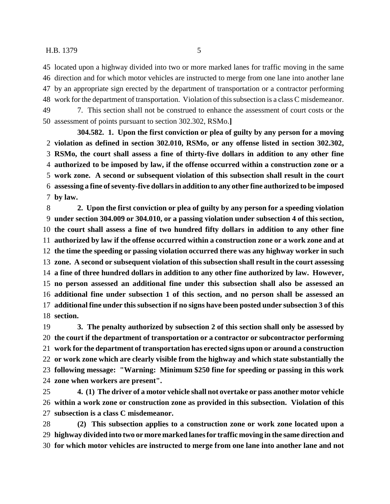located upon a highway divided into two or more marked lanes for traffic moving in the same direction and for which motor vehicles are instructed to merge from one lane into another lane by an appropriate sign erected by the department of transportation or a contractor performing work for the department of transportation. Violation of this subsection is a class C misdemeanor. 7. This section shall not be construed to enhance the assessment of court costs or the assessment of points pursuant to section 302.302, RSMo.**]**

**304.582. 1. Upon the first conviction or plea of guilty by any person for a moving violation as defined in section 302.010, RSMo, or any offense listed in section 302.302, RSMo, the court shall assess a fine of thirty-five dollars in addition to any other fine authorized to be imposed by law, if the offense occurred within a construction zone or a work zone. A second or subsequent violation of this subsection shall result in the court assessing a fine of seventy-five dollars in addition to any other fine authorized to be imposed by law.**

 **2. Upon the first conviction or plea of guilty by any person for a speeding violation under section 304.009 or 304.010, or a passing violation under subsection 4 of this section, the court shall assess a fine of two hundred fifty dollars in addition to any other fine authorized by law if the offense occurred within a construction zone or a work zone and at the time the speeding or passing violation occurred there was any highway worker in such zone. A second or subsequent violation of this subsection shall result in the court assessing a fine of three hundred dollars in addition to any other fine authorized by law. However, no person assessed an additional fine under this subsection shall also be assessed an additional fine under subsection 1 of this section, and no person shall be assessed an additional fine under this subsection if no signs have been posted under subsection 3 of this section.**

 **3. The penalty authorized by subsection 2 of this section shall only be assessed by the court if the department of transportation or a contractor or subcontractor performing work for the department of transportation has erected signs upon or around a construction or work zone which are clearly visible from the highway and which state substantially the following message: "Warning: Minimum \$250 fine for speeding or passing in this work zone when workers are present".**

 **4. (1) The driver of a motor vehicle shall not overtake or pass another motor vehicle within a work zone or construction zone as provided in this subsection. Violation of this subsection is a class C misdemeanor.**

 **(2) This subsection applies to a construction zone or work zone located upon a highway divided into two or more marked lanes for traffic moving in the same direction and for which motor vehicles are instructed to merge from one lane into another lane and not**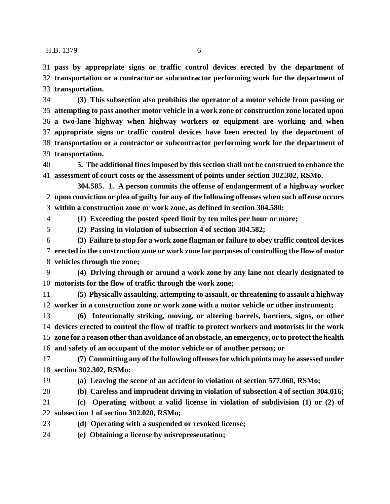**pass by appropriate signs or traffic control devices erected by the department of transportation or a contractor or subcontractor performing work for the department of transportation.**

 **(3) This subsection also prohibits the operator of a motor vehicle from passing or attempting to pass another motor vehicle in a work zone or construction zone located upon a two-lane highway when highway workers or equipment are working and when appropriate signs or traffic control devices have been erected by the department of transportation or a contractor or subcontractor performing work for the department of transportation.**

 **5. The additional fines imposed by this section shall not be construed to enhance the assessment of court costs or the assessment of points under section 302.302, RSMo.**

**304.585. 1. A person commits the offense of endangerment of a highway worker upon conviction or plea of guilty for any of the following offenses when such offense occurs within a construction zone or work zone, as defined in section 304.580:**

**(1) Exceeding the posted speed limit by ten miles per hour or more;**

**(2) Passing in violation of subsection 4 of section 304.582;**

 **(3) Failure to stop for a work zone flagman or failure to obey traffic control devices erected in the construction zone or work zone for purposes of controlling the flow of motor vehicles through the zone;**

 **(4) Driving through or around a work zone by any lane not clearly designated to motorists for the flow of traffic through the work zone;**

 **(5) Physically assaulting, attempting to assault, or threatening to assault a highway worker in a construction zone or work zone with a motor vehicle or other instrument;**

 **(6) Intentionally striking, moving, or altering barrels, barriers, signs, or other devices erected to control the flow of traffic to protect workers and motorists in the work zone for a reason other than avoidance of an obstacle, an emergency, or to protect the health and safety of an occupant of the motor vehicle or of another person; or**

 **(7) Committing any of the following offenses for which points may be assessed under section 302.302, RSMo:**

**(a) Leaving the scene of an accident in violation of section 577.060, RSMo;**

**(b) Careless and imprudent driving in violation of subsection 4 of section 304.016;**

 **(c) Operating without a valid license in violation of subdivision (1) or (2) of subsection 1 of section 302.020, RSMo;**

**(d) Operating with a suspended or revoked license;**

**(e) Obtaining a license by misrepresentation;**